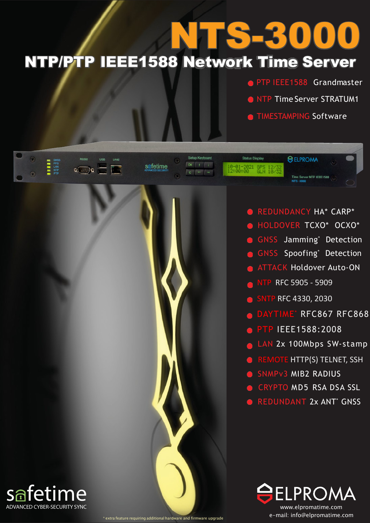# NTP/PTP IEEE1588 Network Time Server NTS-3000

- **O PTP IEEE1588 Grandmaster**
- **O NTP Time Server STRATUM1**
- **C TIMESTAMPING Software**



www.elpromatime.com e-mail: info@elpromatime.com